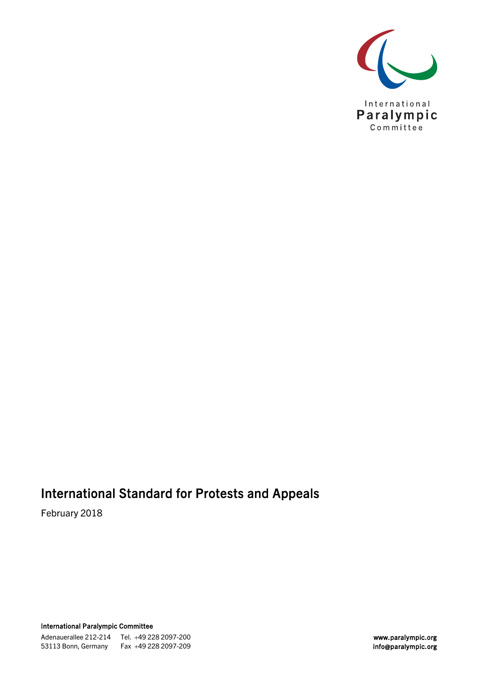

# International Standard for Protests and Appeals

February 2018

International Paralympic Committee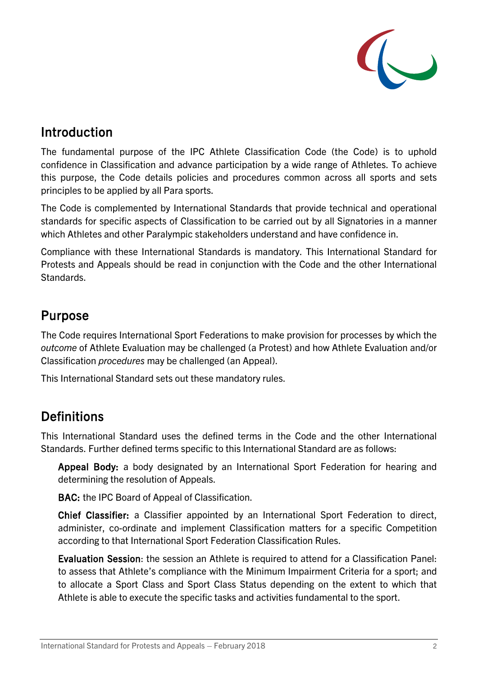

### Introduction

The fundamental purpose of the IPC Athlete Classification Code (the Code) is to uphold confidence in Classification and advance participation by a wide range of Athletes. To achieve this purpose, the Code details policies and procedures common across all sports and sets principles to be applied by all Para sports.

The Code is complemented by International Standards that provide technical and operational standards for specific aspects of Classification to be carried out by all Signatories in a manner which Athletes and other Paralympic stakeholders understand and have confidence in.

Compliance with these International Standards is mandatory. This International Standard for Protests and Appeals should be read in conjunction with the Code and the other International Standards.

### Purpose

The Code requires International Sport Federations to make provision for processes by which the *outcome* of Athlete Evaluation may be challenged (a Protest) and how Athlete Evaluation and/or Classification *procedures* may be challenged (an Appeal).

This International Standard sets out these mandatory rules.

# **Definitions**

This International Standard uses the defined terms in the Code and the other International Standards. Further defined terms specific to this International Standard are as follows:

Appeal Body: a body designated by an International Sport Federation for hearing and determining the resolution of Appeals.

BAC: the IPC Board of Appeal of Classification.

Chief Classifier: a Classifier appointed by an International Sport Federation to direct, administer, co-ordinate and implement Classification matters for a specific Competition according to that International Sport Federation Classification Rules.

Evaluation Session: the session an Athlete is required to attend for a Classification Panel: to assess that Athlete's compliance with the Minimum Impairment Criteria for a sport; and to allocate a Sport Class and Sport Class Status depending on the extent to which that Athlete is able to execute the specific tasks and activities fundamental to the sport.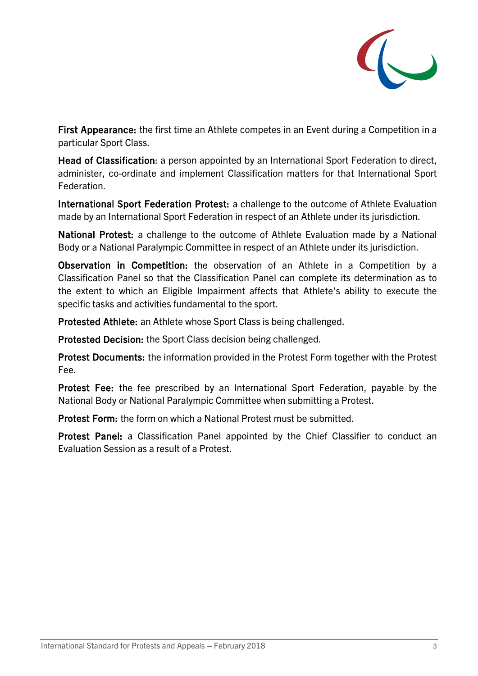

First Appearance: the first time an Athlete competes in an Event during a Competition in a particular Sport Class.

Head of Classification: a person appointed by an International Sport Federation to direct, administer, co-ordinate and implement Classification matters for that International Sport Federation.

International Sport Federation Protest: a challenge to the outcome of Athlete Evaluation made by an International Sport Federation in respect of an Athlete under its jurisdiction.

National Protest: a challenge to the outcome of Athlete Evaluation made by a National Body or a National Paralympic Committee in respect of an Athlete under its jurisdiction.

Observation in Competition: the observation of an Athlete in a Competition by a Classification Panel so that the Classification Panel can complete its determination as to the extent to which an Eligible Impairment affects that Athlete's ability to execute the specific tasks and activities fundamental to the sport.

Protested Athlete: an Athlete whose Sport Class is being challenged.

Protested Decision: the Sport Class decision being challenged.

Protest Documents: the information provided in the Protest Form together with the Protest Fee.

Protest Fee: the fee prescribed by an International Sport Federation, payable by the National Body or National Paralympic Committee when submitting a Protest.

Protest Form: the form on which a National Protest must be submitted.

Protest Panel: a Classification Panel appointed by the Chief Classifier to conduct an Evaluation Session as a result of a Protest.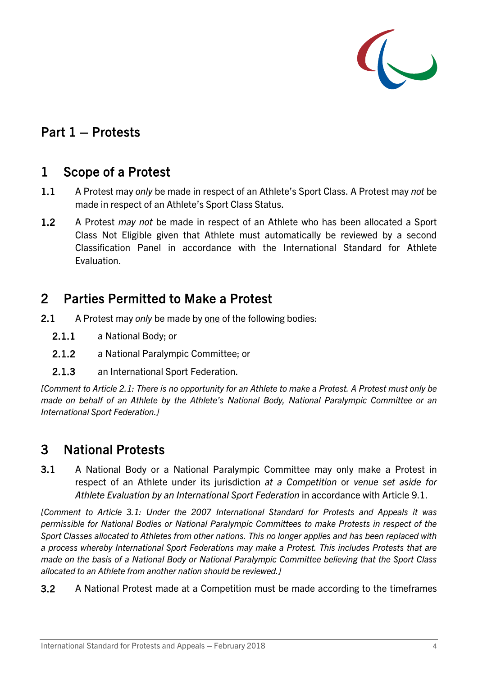

### Part 1 – Protests

#### 1 Scope of a Protest

- 1.1 A Protest may *only* be made in respect of an Athlete's Sport Class. A Protest may *not* be made in respect of an Athlete's Sport Class Status.
- 1.2 A Protest *may not* be made in respect of an Athlete who has been allocated a Sport Class Not Eligible given that Athlete must automatically be reviewed by a second Classification Panel in accordance with the International Standard for Athlete Evaluation.

### 2 Parties Permitted to Make a Protest

- <span id="page-3-0"></span>2.1 A Protest may *only* be made by one of the following bodies:
	- 2.1.1 a National Body; or
	- 2.1.2 a National Paralympic Committee; or
	- 2.1.3 an International Sport Federation.

*[Comment to Article [2.1:](#page-3-0) There is no opportunity for an Athlete to make a Protest. A Protest must only be made on behalf of an Athlete by the Athlete's National Body, National Paralympic Committee or an International Sport Federation.]* 

### 3 National Protests

<span id="page-3-1"></span>3.1 A National Body or a National Paralympic Committee may only make a Protest in respect of an Athlete under its jurisdiction *at a Competition* or *venue set aside for Athlete Evaluation by an International Sport Federation* in accordance with Article [9.1.](#page-8-0)

*[Comment to Article [3.1:](#page-3-1) Under the 2007 International Standard for Protests and Appeals it was permissible for National Bodies or National Paralympic Committees to make Protests in respect of the Sport Classes allocated to Athletes from other nations. This no longer applies and has been replaced with a process whereby International Sport Federations may make a Protest. This includes Protests that are made on the basis of a National Body or National Paralympic Committee believing that the Sport Class allocated to an Athlete from another nation should be reviewed.]*

3.2 A National Protest made at a Competition must be made according to the timeframes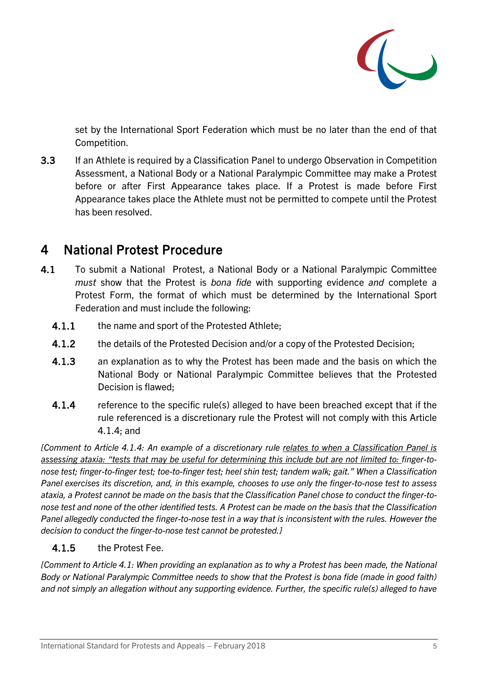

set by the International Sport Federation which must be no later than the end of that Competition.

3.3 If an Athlete is required by a Classification Panel to undergo Observation in Competition Assessment, a National Body or a National Paralympic Committee may make a Protest before or after First Appearance takes place. If a Protest is made before First Appearance takes place the Athlete must not be permitted to compete until the Protest has been resolved.

### <span id="page-4-2"></span>4 National Protest Procedure

- <span id="page-4-1"></span>4.1 To submit a National Protest, a National Body or a National Paralympic Committee *must* show that the Protest is *bona fide* with supporting evidence *and* complete a Protest Form, the format of which must be determined by the International Sport Federation and must include the following:
	- 4.1.1 the name and sport of the Protested Athlete;
	- 4.1.2 the details of the Protested Decision and/or a copy of the Protested Decision;
	- 4.1.3 an explanation as to why the Protest has been made and the basis on which the National Body or National Paralympic Committee believes that the Protested Decision is flawed;
	- 4.1.4 reference to the specific rule(s) alleged to have been breached except that if the rule referenced is a discretionary rule the Protest will not comply with this Article [4.1.4;](#page-4-0) and

<span id="page-4-0"></span>*[Comment to Article 4.1.4: An example of a discretionary rule relates to when a Classification Panel is assessing ataxia: "tests that may be useful for determining this include but are not limited to: finger-tonose test; finger-to-finger test; toe-to-finger test; heel shin test; tandem walk; gait." When a Classification Panel exercises its discretion, and, in this example, chooses to use only the finger-to-nose test to assess ataxia, a Protest cannot be made on the basis that the Classification Panel chose to conduct the finger-tonose test and none of the other identified tests. A Protest can be made on the basis that the Classification Panel allegedly conducted the finger-to-nose test in a way that is inconsistent with the rules. However the decision to conduct the finger-to-nose test cannot be protested.]*

#### 4.1.5 the Protest Fee.

*[Comment to Article [4.1:](#page-4-1) When providing an explanation as to why a Protest has been made, the National Body or National Paralympic Committee needs to show that the Protest is bona fide (made in good faith) and not simply an allegation without any supporting evidence. Further, the specific rule(s) alleged to have*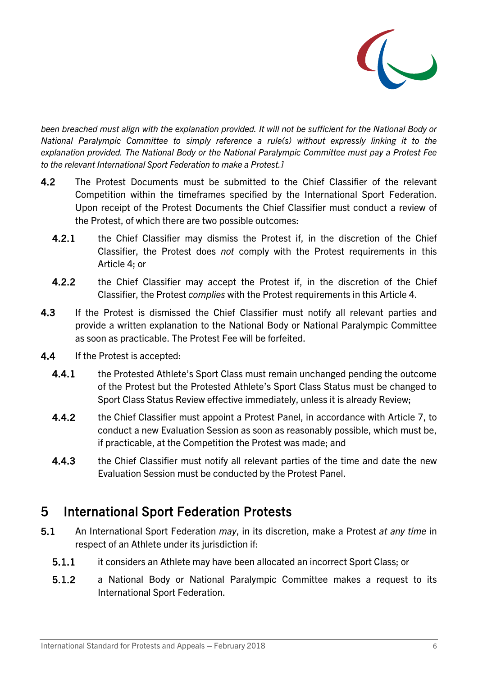

*been breached must align with the explanation provided. It will not be sufficient for the National Body or National Paralympic Committee to simply reference a rule(s) without expressly linking it to the explanation provided. The National Body or the National Paralympic Committee must pay a Protest Fee to the relevant International Sport Federation to make a Protest.]*

- 4.2 The Protest Documents must be submitted to the Chief Classifier of the relevant Competition within the timeframes specified by the International Sport Federation. Upon receipt of the Protest Documents the Chief Classifier must conduct a review of the Protest, of which there are two possible outcomes:
	- 4.2.1 the Chief Classifier may dismiss the Protest if, in the discretion of the Chief Classifier, the Protest does *not* comply with the Protest requirements in this Article [4;](#page-4-2) or
	- 4.2.2 the Chief Classifier may accept the Protest if, in the discretion of the Chief Classifier, the Protest *complies* with the Protest requirements in this Article [4.](#page-4-2)
- 4.3 If the Protest is dismissed the Chief Classifier must notify all relevant parties and provide a written explanation to the National Body or National Paralympic Committee as soon as practicable. The Protest Fee will be forfeited.
- 4.4 If the Protest is accepted:
	- 4.4.1 the Protested Athlete's Sport Class must remain unchanged pending the outcome of the Protest but the Protested Athlete's Sport Class Status must be changed to Sport Class Status Review effective immediately, unless it is already Review;
	- 4.4.2 the Chief Classifier must appoint a Protest Panel, in accordance with Article [7,](#page-6-0) to conduct a new Evaluation Session as soon as reasonably possible, which must be, if practicable, at the Competition the Protest was made; and
	- 4.4.3 the Chief Classifier must notify all relevant parties of the time and date the new Evaluation Session must be conducted by the Protest Panel.

## 5 International Sport Federation Protests

- <span id="page-5-0"></span>5.1 An International Sport Federation *may*, in its discretion, make a Protest *at any time* in respect of an Athlete under its jurisdiction if:
	- 5.1.1 it considers an Athlete may have been allocated an incorrect Sport Class; or
	- 5.1.2 a National Body or National Paralympic Committee makes a request to its International Sport Federation.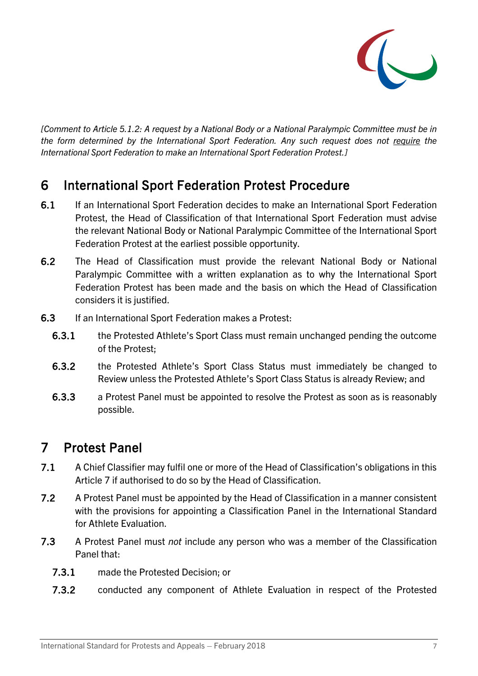

*[Comment to Article [5.1.2:](#page-5-0) A request by a National Body or a National Paralympic Committee must be in the form determined by the International Sport Federation. Any such request does not require the International Sport Federation to make an International Sport Federation Protest.]*

### 6 International Sport Federation Protest Procedure

- 6.1 If an International Sport Federation decides to make an International Sport Federation Protest, the Head of Classification of that International Sport Federation must advise the relevant National Body or National Paralympic Committee of the International Sport Federation Protest at the earliest possible opportunity.
- 6.2 The Head of Classification must provide the relevant National Body or National Paralympic Committee with a written explanation as to why the International Sport Federation Protest has been made and the basis on which the Head of Classification considers it is justified.
- 6.3 If an International Sport Federation makes a Protest:
	- 6.3.1 the Protested Athlete's Sport Class must remain unchanged pending the outcome of the Protest;
	- 6.3.2 the Protested Athlete's Sport Class Status must immediately be changed to Review unless the Protested Athlete's Sport Class Status is already Review; and
	- 6.3.3 a Protest Panel must be appointed to resolve the Protest as soon as is reasonably possible.

### <span id="page-6-0"></span>7 Protest Panel

- 7.1 A Chief Classifier may fulfil one or more of the Head of Classification's obligations in this Article [7](#page-6-0) if authorised to do so by the Head of Classification.
- 7.2 A Protest Panel must be appointed by the Head of Classification in a manner consistent with the provisions for appointing a Classification Panel in the International Standard for Athlete Evaluation.
- <span id="page-6-1"></span>7.3 A Protest Panel must *not* include any person who was a member of the Classification Panel that:
	- 7.3.1 made the Protested Decision; or
	- 7.3.2 conducted any component of Athlete Evaluation in respect of the Protested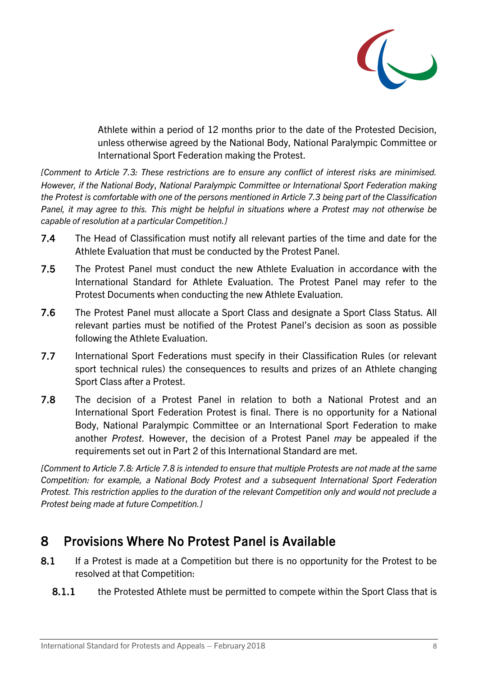

Athlete within a period of 12 months prior to the date of the Protested Decision, unless otherwise agreed by the National Body, National Paralympic Committee or International Sport Federation making the Protest.

*[Comment to Article [7.3:](#page-6-1) These restrictions are to ensure any conflict of interest risks are minimised. However, if the National Body*, *National Paralympic Committee or International Sport Federation making the Protest is comfortable with one of the persons mentioned in Article [7.3](#page-6-1) being part of the Classification Panel, it may agree to this. This might be helpful in situations where a Protest may not otherwise be capable of resolution at a particular Competition.]* 

- 7.4 The Head of Classification must notify all relevant parties of the time and date for the Athlete Evaluation that must be conducted by the Protest Panel.
- 7.5 The Protest Panel must conduct the new Athlete Evaluation in accordance with the International Standard for Athlete Evaluation. The Protest Panel may refer to the Protest Documents when conducting the new Athlete Evaluation.
- 7.6 The Protest Panel must allocate a Sport Class and designate a Sport Class Status. All relevant parties must be notified of the Protest Panel's decision as soon as possible following the Athlete Evaluation.
- 7.7 International Sport Federations must specify in their Classification Rules (or relevant sport technical rules) the consequences to results and prizes of an Athlete changing Sport Class after a Protest.
- 7.8 The decision of a Protest Panel in relation to both a National Protest and an International Sport Federation Protest is final. There is no opportunity for a National Body, National Paralympic Committee or an International Sport Federation to make another *Protest*. However, the decision of a Protest Panel *may* be appealed if the requirements set out in Part 2 of this International Standard are met.

*[Comment to Article 7.8: Article 7.8 is intended to ensure that multiple Protests are not made at the same Competition: for example, a National Body Protest and a subsequent International Sport Federation Protest. This restriction applies to the duration of the relevant Competition only and would not preclude a Protest being made at future Competition.]* 

## <span id="page-7-0"></span>8 Provisions Where No Protest Panel is Available

- 8.1 If a Protest is made at a Competition but there is no opportunity for the Protest to be resolved at that Competition:
	- 8.1.1 the Protested Athlete must be permitted to compete within the Sport Class that is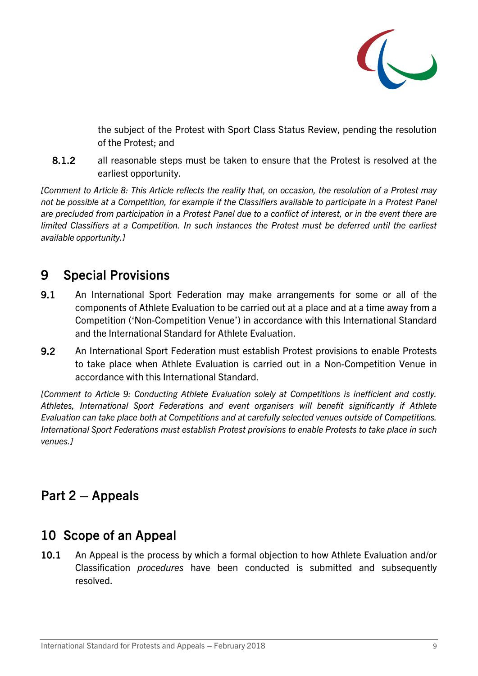

the subject of the Protest with Sport Class Status Review, pending the resolution of the Protest; and

8.1.2 all reasonable steps must be taken to ensure that the Protest is resolved at the earliest opportunity.

*[Comment to Article [8:](#page-7-0) This Article reflects the reality that, on occasion, the resolution of a Protest may not be possible at a Competition, for example if the Classifiers available to participate in a Protest Panel are precluded from participation in a Protest Panel due to a conflict of interest, or in the event there are limited Classifiers at a Competition. In such instances the Protest must be deferred until the earliest available opportunity.]* 

# <span id="page-8-1"></span>9 Special Provisions

- <span id="page-8-0"></span>9.1 An International Sport Federation may make arrangements for some or all of the components of Athlete Evaluation to be carried out at a place and at a time away from a Competition ('Non-Competition Venue') in accordance with this International Standard and the International Standard for Athlete Evaluation.
- 9.2 An International Sport Federation must establish Protest provisions to enable Protests to take place when Athlete Evaluation is carried out in a Non-Competition Venue in accordance with this International Standard.

*[Comment to Article [9:](#page-8-1) Conducting Athlete Evaluation solely at Competitions is inefficient and costly. Athletes, International Sport Federations and event organisers will benefit significantly if Athlete Evaluation can take place both at Competitions and at carefully selected venues outside of Competitions. International Sport Federations must establish Protest provisions to enable Protests to take place in such venues.]* 

# Part 2 – Appeals

# 10 Scope of an Appeal

10.1 An Appeal is the process by which a formal objection to how Athlete Evaluation and/or Classification *procedures* have been conducted is submitted and subsequently resolved.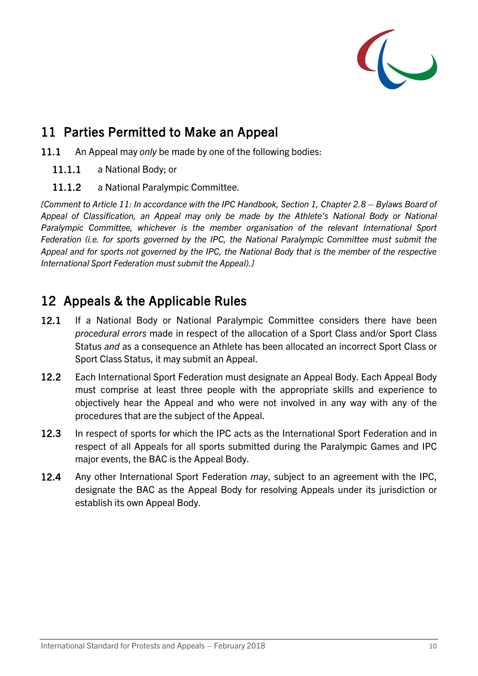

## <span id="page-9-0"></span>11 Parties Permitted to Make an Appeal

- 11.1 An Appeal may *only* be made by one of the following bodies:
	- 11.1.1 a National Body; or
	- 11.1.2 a National Paralympic Committee.

*[Comment to Article [11:](#page-9-0) In accordance with the IPC Handbook, Section 1, Chapter 2.8 – Bylaws Board of Appeal of Classification, an Appeal may only be made by the Athlete's National Body or National Paralympic Committee, whichever is the member organisation of the relevant International Sport Federation (i.e. for sports governed by the IPC, the National Paralympic Committee must submit the Appeal and for sports not governed by the IPC, the National Body that is the member of the respective International Sport Federation must submit the Appeal).]*

#### <span id="page-9-1"></span>12 Appeals & the Applicable Rules

- 12.1 If a National Body or National Paralympic Committee considers there have been *procedural errors* made in respect of the allocation of a Sport Class and/or Sport Class Status *and* as a consequence an Athlete has been allocated an incorrect Sport Class or Sport Class Status, it may submit an Appeal.
- 12.2 Each International Sport Federation must designate an Appeal Body. Each Appeal Body must comprise at least three people with the appropriate skills and experience to objectively hear the Appeal and who were not involved in any way with any of the procedures that are the subject of the Appeal.
- 12.3 In respect of sports for which the IPC acts as the International Sport Federation and in respect of all Appeals for all sports submitted during the Paralympic Games and IPC major events, the BAC is the Appeal Body.
- 12.4 Any other International Sport Federation *may*, subject to an agreement with the IPC, designate the BAC as the Appeal Body for resolving Appeals under its jurisdiction or establish its own Appeal Body.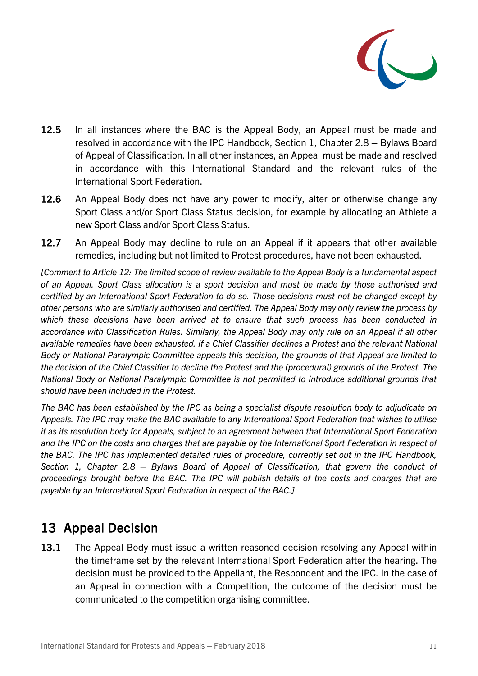

- 12.5 In all instances where the BAC is the Appeal Body, an Appeal must be made and resolved in accordance with the IPC Handbook, Section 1, Chapter 2.8 – Bylaws Board of Appeal of Classification. In all other instances, an Appeal must be made and resolved in accordance with this International Standard and the relevant rules of the International Sport Federation.
- 12.6 An Appeal Body does not have any power to modify, alter or otherwise change any Sport Class and/or Sport Class Status decision, for example by allocating an Athlete a new Sport Class and/or Sport Class Status.
- 12.7 An Appeal Body may decline to rule on an Appeal if it appears that other available remedies, including but not limited to Protest procedures, have not been exhausted.

*[Comment to Article [12:](#page-9-1) The limited scope of review available to the Appeal Body is a fundamental aspect of an Appeal. Sport Class allocation is a sport decision and must be made by those authorised and certified by an International Sport Federation to do so. Those decisions must not be changed except by other persons who are similarly authorised and certified. The Appeal Body may only review the process by which these decisions have been arrived at to ensure that such process has been conducted in accordance with Classification Rules. Similarly, the Appeal Body may only rule on an Appeal if all other available remedies have been exhausted. If a Chief Classifier declines a Protest and the relevant National Body or National Paralympic Committee appeals this decision, the grounds of that Appeal are limited to the decision of the Chief Classifier to decline the Protest and the (procedural) grounds of the Protest. The National Body or National Paralympic Committee is not permitted to introduce additional grounds that should have been included in the Protest.* 

*The BAC has been established by the IPC as being a specialist dispute resolution body to adjudicate on Appeals. The IPC may make the BAC available to any International Sport Federation that wishes to utilise it as its resolution body for Appeals, subject to an agreement between that International Sport Federation* and the IPC on the costs and charges that are payable by the International Sport Federation in respect of *the BAC. The IPC has implemented detailed rules of procedure, currently set out in the IPC Handbook, Section 1, Chapter 2.8 – Bylaws Board of Appeal of Classification, that govern the conduct of proceedings brought before the BAC. The IPC will publish details of the costs and charges that are payable by an International Sport Federation in respect of the BAC.]*

## 13 Appeal Decision

13.1 The Appeal Body must issue a written reasoned decision resolving any Appeal within the timeframe set by the relevant International Sport Federation after the hearing. The decision must be provided to the Appellant, the Respondent and the IPC. In the case of an Appeal in connection with a Competition, the outcome of the decision must be communicated to the competition organising committee.